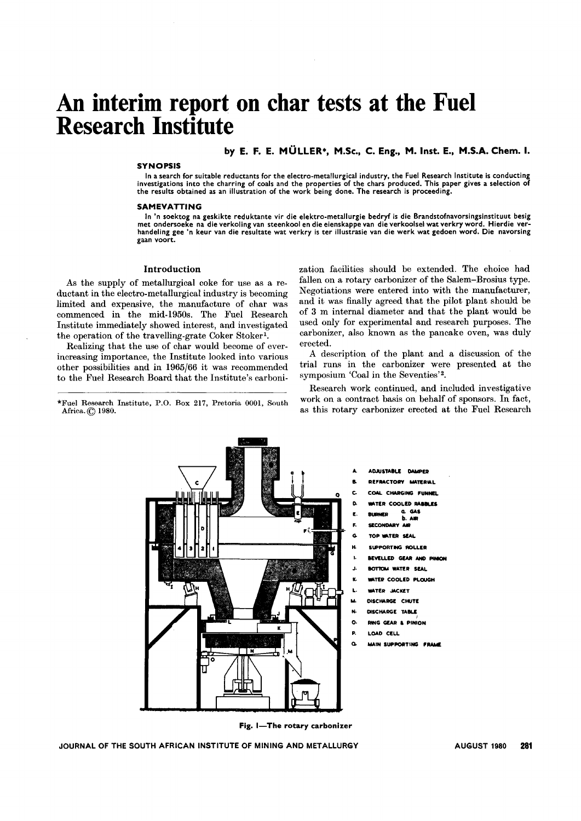# An **interim report on char tests at the Fuel Research Institute**

#### by E. F. E. MÜLLER\*, M.Sc., C. Eng., M. Inst. E., M.S.A. Chem. I.

#### SYNOPSIS

In a search for suitable reductants for the electro-metanurgical industry, the ruer research institute is conducting<br>investigations into the charring of coals and the properties of the chars produced. This paper gives a se In a search for suitable reductants for the electro-metallurgical industry, the Fuel Research Institute is conducting the results obtained as an illustration of the work being done. The research is proceeding.

#### SAMEVATTING

In 'n soektog na geskikte reduktante vir die elektro-metallurgie bedryf is die Brandstofnavorsingsinstituut besig met ondersoeke na die verkoling van steenkool en die eienskappe van die verkoolsel wat verkry word. Hierdie verhandeling gee 'n keur van die resultate wat verkry is ter illustrasie van die werk wat gedoen word. Die navorsing gaan voort.

#### Introduction

As the supply of metallurgical coke for use as a reductant in the electro-metallurgical industry is becoming limited and expensive, the manufacture of char was commenced in the mid-1950s. The Fuel Research Institute immediately showed interest, and investigated the operation of the travelling-grate Coker Stoker1.

Realizing that the use of char would become of everincreasing importance, the Institute looked into various other possibilities and in 1965/66 it was recommended to the Fuel Research Board that the Institute's carboni-

\*Fuel Research Institute, P.D. Box 217, Pretoria 0001, South Africa. (Q 1980.

zation facilities should be extended. The choice had fallen on a rotary carbonizer of the Salem-Brosius type. Negotiations were entered into with the manufacturer, and it was finally agreed that the pilot plant should be of 3 m internal diameter and that the plant would be used only for experimental and research purposes. The carbonizer, also known as the pancake oven, was duly erected.

A description of the plant and a discussion of the trial runs in the carbonizer were presented at the symposium 'Coal in the Seventies'2.

Research work continued, and included investigative work on a contract basis on behalf of sponsors. In fact, as this rotary carbonizer erected at the Fuel Research



**ADJUSTABLE DAMPER** 

- CTORY MATERIAL
- CHARGING FUNNEL
- D. WATER COOLED RABINLES
	- E. IUANEII Q. GAS b. AlA
	- SECONDARY AIR
	- G. TOP WATER SEAL
	- SUPPORTING ROLLER
	- BEVELLED GEAR AND PINION
	- BOTTOM WATER SEAL
	- WATER COOLED PLOUGH
- L. WATER MCKET
- M. DISCHARGE CHUTE
- N. DISCHARGE TABLE
- O. RING GEAR & PINION
- P. LOAD CELL
- Q. MAIN SUPPORTING FRAME

Fig. I-The rotary carbonizer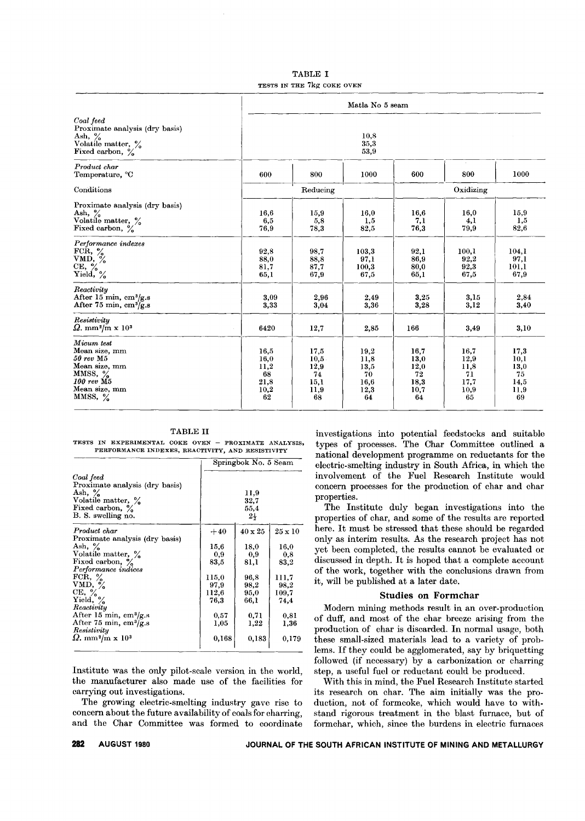TABLE I TESTS IN THE 7kg COKE OVEN

|                                                                                                                                                               | Matla No 5 seam                                  |                                                  |                                                  |                                                  |                                                  |                                                  |  |  |
|---------------------------------------------------------------------------------------------------------------------------------------------------------------|--------------------------------------------------|--------------------------------------------------|--------------------------------------------------|--------------------------------------------------|--------------------------------------------------|--------------------------------------------------|--|--|
| Coal feed<br>Proximate analysis (dry basis)<br>Ash, $\frac{\%}{\%}$<br>Volatile matter, $\frac{\%}{\%}$<br>Fixed carbon, $\frac{\%}{\%}$                      | 10.8<br>35,3<br>53,9                             |                                                  |                                                  |                                                  |                                                  |                                                  |  |  |
| Product char<br>Temperature, °C                                                                                                                               | 600                                              | 800                                              | 1000                                             | 600                                              | 800                                              | 1000                                             |  |  |
| Conditions                                                                                                                                                    |                                                  | Reducing                                         |                                                  | Oxidizing                                        |                                                  |                                                  |  |  |
| Proximate analysis (dry basis)<br>Ash, $\frac{\%}{\%}$<br>Volatile matter, $\frac{\%}{\%}$<br>Fixed carbon, $\frac{\%}{\%}$                                   | 16,6<br>6,5<br>76,9                              | 15,9<br>5,8<br>78,3                              | 16,0<br>1,5<br>82,5                              | 16,6<br>7,1<br>76.3                              | 16,0<br>4,1<br>79,9                              | 15,9<br>1.5<br>82,6                              |  |  |
| Performance indexes<br>FCR, %<br>VMD, %<br>CE, %<br>Yield, %                                                                                                  | 92.8<br>88.0<br>81,7<br>65,1                     | 98,7<br>88,8<br>87,7<br>67,9                     | 103,3<br>97,1<br>100,3<br>67,5                   | 92.1<br>86.9<br>80.0<br>65,1                     | 100,1<br>92.2<br>92,3<br>67,5                    | 104,1<br>97,1<br>101,1<br>67,9                   |  |  |
| Reactivity<br>After 15 min, cm <sup>3</sup> /g.s<br>After 75 min, $\text{cm}^3/\text{g.s}$                                                                    | 3,09<br>3,33                                     | 2,96<br>3,04                                     | 2.49<br>3,36                                     | 3,25<br>3,28                                     | 3,15<br>3,12                                     | 2,84<br>3,40                                     |  |  |
| Resistivity<br>$\Omega$ . mm <sup>2</sup> /m x 10 <sup>3</sup>                                                                                                | 6420                                             | 12,7                                             | 2,85                                             | 166                                              | 3,49                                             | 3,10                                             |  |  |
| Micum test<br>Mean size, mm<br>$50 \; rev \; M5$<br>Mean size, mm<br>MMSS, $\%$<br>$100 \, \text{rev} \, \overline{\text{M5}}$<br>Mean size, mm<br>MMSS, $\%$ | 16,5<br>16.0<br>11,2<br>68<br>21,8<br>10,2<br>62 | 17,5<br>10,5<br>12.9<br>74<br>15,1<br>11,9<br>68 | 19,2<br>11,8<br>13,5<br>70<br>16.6<br>12,3<br>64 | 16,7<br>13,0<br>12,0<br>72<br>18,3<br>10,7<br>64 | 16.7<br>12.9<br>11,8<br>71<br>17,7<br>10,9<br>65 | 17.3<br>10,1<br>13,0<br>75<br>14,5<br>11,9<br>69 |  |  |

TABLE II

TESTS IN EXPERIMENTAL COKE OVEN - PROXIMATE ANALYSI PERFORMANCE INDEXES, REACTIVITY, AND RESISTIVITY

|                                                                                                                         |       | Springbok No. 5 Seam                   |                |  |  |  |  |
|-------------------------------------------------------------------------------------------------------------------------|-------|----------------------------------------|----------------|--|--|--|--|
| Coal feed<br>Proximate analysis (dry basis)<br>Ash, $\%$<br>Volatile matter, %<br>Fixed carbon, %<br>B. S. swelling no. |       | 11,9<br>32,7<br>55,4<br>$2\frac{1}{2}$ |                |  |  |  |  |
| Product char                                                                                                            | $+40$ | $40 \times 25$                         | $25 \times 10$ |  |  |  |  |
| Proximate analysis (dry basis)                                                                                          |       |                                        |                |  |  |  |  |
| Ash, $\frac{9}{6}$                                                                                                      | 15.6  | 18.0                                   | 16.0           |  |  |  |  |
| Volatile matter, %                                                                                                      | 0.9   | 0,9                                    | 0,8            |  |  |  |  |
| Fixed carbon, $\%$                                                                                                      | 83,5  | 81,1                                   | 83,2           |  |  |  |  |
| Performance indices                                                                                                     |       |                                        |                |  |  |  |  |
| FCR, $\%$                                                                                                               | 115.0 | 96.8                                   | 111,7          |  |  |  |  |
| VMD, $\frac{6}{6}$                                                                                                      | 97.9  | 98,2                                   | 98,2           |  |  |  |  |
| CE, $\frac{6}{6}$                                                                                                       | 112,6 | 95,0                                   | 109,7          |  |  |  |  |
| Yield, $\%$                                                                                                             | 76.3  | 66,1                                   | 74,4           |  |  |  |  |
| Reactivity                                                                                                              |       |                                        |                |  |  |  |  |
| After 15 min, $\text{cm}^3/\text{g.s}$                                                                                  | 0,57  | 0,71                                   | 0.81           |  |  |  |  |
| After 75 min, $\text{cm}^3/\text{g.s}$                                                                                  | 1,05  | 1,22                                   | 1.36           |  |  |  |  |
| Resistivity                                                                                                             |       |                                        |                |  |  |  |  |
| $\Omega$ . mm <sup>2</sup> /m x 10 <sup>3</sup>                                                                         | 0,168 | 0,183                                  | 0.179          |  |  |  |  |

Institute was the only pilot-scale version in the world, the manufacturer also made use of the facilities for carrying out investigations.

The growing electric-smelting industry gave rise to concern about the future availability of coals for charring, and the Char Committee was formed to coordinate investigations into potential feedstocks and suitable types of processes. The Char Committee outlined a national development programme on reductants for the electric-smelting industry in South Africa, in which the involvement of the Fuel Research Institute would concern processes for the production of char and char properties.

The Institute duly began investigations into the properties of char, and some of the results are reported here. It must be stressed that these should be regarded only as interim results. As the research project has not yet been completed, the results cannot be evaluated or discussed in depth. It is hoped that a complete account of the work, together with the conclusions drawn from it, will be published at a later date.

#### **Studies on Formchar**

Modern mining methods result in an over-production of duff, and most of the char breeze arising from the production of char is discarded. In normal usage, both these small-sized materials lead to a variety of problems. If they could be agglomerated, say by briquetting followed (if necessary) by a carbonization or charring step, a useful fuel or reductant could be produced.

With this in mind, the Fuel Research Institute started its research on char. The aim initially was the production, not of formcoke, which would have to withstand rigorous treatment in the blast furnace, but of formchar, which, since the burdens in electric furnaces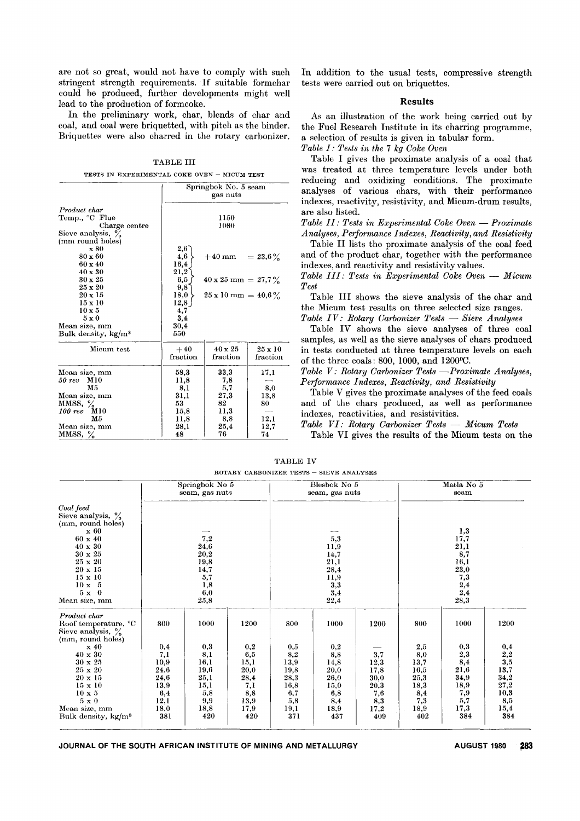are not so great, would not have to comply with such stringent strength requirements. If suitable formchar could be produced, further developments might well lead to the production of formcoke.

In the preliminary work, char, blends of char and coal, and coal were briquetted, with pitch as the binder. Briquettes were also charred in the rotary carbonizer.

TABLE III

TESTS IN EXPERIMENTAL COKE OVEN – MICUM TES

|                                                                                | Springbok No. 5 seam<br>gas nuts |                                                                 |                            |  |  |  |  |
|--------------------------------------------------------------------------------|----------------------------------|-----------------------------------------------------------------|----------------------------|--|--|--|--|
| Product char<br>Temp., °C Flue<br>Charge centre<br>Sieve analysis, %           | 1150<br>1080                     |                                                                 |                            |  |  |  |  |
| (mm round holes)<br>x 80<br>$80 \times 60$<br>$60 \times 40$<br>$40 \times 30$ | 2,6<br>4,6<br>16,4<br>$^{21,2}$  | $+40 \text{ mm} = 23.6\%$                                       |                            |  |  |  |  |
| $30 \times 25$<br>$25 \times 20$<br>$20 \times 15$                             | 6,5<br>9,8<br>18,0               | $40 \times 25$ mm = 27,7%<br>$25 \times 10 \text{ mm} = 40.6\%$ |                            |  |  |  |  |
| $15 \times 10$<br>$10 \times 5$<br>$5 \times 0$                                | 12,8<br>4,7<br>3,4               |                                                                 |                            |  |  |  |  |
| Mean size, mm<br>Bulk density, kg/m <sup>3</sup>                               | 30,4<br>550                      |                                                                 |                            |  |  |  |  |
| Micum test                                                                     | $+40$<br>fraction                | $40 \times 25$<br>fraction                                      | $25 \times 10$<br>fraction |  |  |  |  |
| Mean size, mm<br>50 rev<br>M10<br>M5                                           | 58,3<br>11,8<br>8,1              | 33,3<br>7,8<br>5,7                                              | 17,1<br>8,0                |  |  |  |  |
| Mean size, mm<br>MMSS, $\%$<br>M10<br>$100\,$ rev                              | 31,1<br>53<br>15.8               | 27.3<br>82<br>11,3                                              | 13,8<br>80                 |  |  |  |  |
| M5<br>Mean size, mm<br>MMSS, $\%$                                              | 11,8<br>28,1<br>48               | 8,8<br>25.4<br>76                                               | 12,1<br>12,7<br>74         |  |  |  |  |

In addition to the usual tests, compressive strength tests were carried out on briquettes.

#### **Results**

As an illustration of the work being carried out by the Fuel Research Institute in its charring programme, a selection of results is given in tabular form.

*Table I: Tests in the* 7 *kg Coke Oven*

Table I gives the proximate analysis of a coal that was treated at three temperature levels under both reducing and oxidizing conditions. The proximate analyses of various chars, with their performance indexes, reactivity, resistivity, and Micum-drum results, are also listed.

*Table* 11: *Tests in Experimental Coke Oven* - *Proximate Analyses, Performance Indexes, Reactivity, and Resistivity*

Table Il lists the proximate analysis of the coal feed and of the product char, together with the performance indexes, and reactivity and resistivity values.

*Table 111: Tests in Experimental Coke Oven* - *Micum Test*

Table **III** shows the sieve analysis of the char and the Micum test results on three selected size ranges.

*Table IV: Rotary Carbonizer Tests* - *Sieve Analyses*

Table IV shows the sieve analyses of three coal samples, as well as the sieve analyses of chars produced in tests conducted at three temperature levels on each of the three coals: 800, 1000, and 1200°C.

*Table V: Rotary Carbonizer Tests -Proximate Analyses, Performance Indexes, Reactivity, and Resistivity*

Table V gives the proximate analyses of the feed coals and of the chars produced, as well as performance indexes, reactivities, and resistivities.

*Table VI: Rotary Carbonizer Tests* - *Micum Tests*

Table VI gives the results of the Micum tests on the

|                                                                                                                                                                                                                                  |                                                                                 | Springbok No 5<br>seam, gas nuts                                                | Blesbok No 5<br>seam, gas nuts                                          |                                                                         | Matla No 5<br>seam                                                           |                                                                  |                                                                                         |                                                                                 |                                                                                              |
|----------------------------------------------------------------------------------------------------------------------------------------------------------------------------------------------------------------------------------|---------------------------------------------------------------------------------|---------------------------------------------------------------------------------|-------------------------------------------------------------------------|-------------------------------------------------------------------------|------------------------------------------------------------------------------|------------------------------------------------------------------|-----------------------------------------------------------------------------------------|---------------------------------------------------------------------------------|----------------------------------------------------------------------------------------------|
| Coal feed<br>Sieve analysis, $\%$<br>(mm, round holes)<br>$\boldsymbol{\mathrm{x}}\text{ }60$<br>$60 \times 40$<br>40 x 30<br>$30 \times 25$<br>25 x 20<br>$20 \times 15$<br>15 x 10<br>$10 \times 5$<br>$5x=0$<br>Mean size, mm |                                                                                 | 7,2<br>$\bf 24,\!6$<br>$\bf{20,2}$<br>19,8<br>14,7<br>5,7<br>1,8<br>6,0<br>25,8 |                                                                         |                                                                         | 5,3<br>11,9<br>14,7<br>21,1<br>28,4<br>11,9<br>3,3<br>3,4<br>22,4            |                                                                  | 1,3<br>17,7<br>21,1<br>8,7<br>16,1<br>23,0<br>7,3<br>$_{\  \, 2,4}^{\  \, 2,4}$<br>28,3 |                                                                                 |                                                                                              |
| Product char<br>Roof temperature, °C<br>Sieve analysis, $\%$<br>(mm, round holes)                                                                                                                                                | 800                                                                             | 1000                                                                            | 1200                                                                    | 800                                                                     | 1000                                                                         | 1200                                                             | 800                                                                                     | 1000                                                                            | 1200                                                                                         |
| x40<br>40 x 30<br>$30 \times 25$<br>25 x 20<br>$20 \times 15$<br>$15 \times 10$<br>$10 \times 5$<br>$5 \times 0$<br>Mean size, mm<br>Bulk density, $kg/m^3$                                                                      | 0,4<br>7,1<br>10,9<br>24,6<br>24,6<br>13,9<br>6,4<br>12,1<br>18,0<br><b>381</b> | 0,3<br>8,1<br>16,1<br>19,6<br>25,1<br>15,1<br>5,8<br>9,9<br>18,8<br>420         | 0,2<br>6,5<br>15,1<br>20,0<br>28,4<br>7,1<br>8,8<br>13,9<br>17,9<br>420 | 0,5<br>8,2<br>13,9<br>19,8<br>28,3<br>16.8<br>6,7<br>5,8<br>19,1<br>371 | $_{0,2}$<br>8,8<br>14,8<br>20,0<br>26,0<br>15,0<br>6,8<br>8,4<br>18,9<br>437 | 3,7<br>12,3<br>17,8<br>30,0<br>20,3<br>7,6<br>8,3<br>17,2<br>409 | $^{2,5}$<br>8,0<br>13,7<br>16,5<br>25,3<br>18,3<br>8,4<br>7,3<br>18,9<br>402            | 0,3<br>$_{\rm 2,3}$<br>8,4<br>21,6<br>34,9<br>18,9<br>7,9<br>5,7<br>17,3<br>384 | 0,4<br>$\overset{2}{3},\overset{2}{5}$<br>13,7<br>34,2<br>27,2<br>10,3<br>8,5<br>15,4<br>384 |

TABLE IV ROTARY CARBONIZER TESTS - SIEVE ANALYS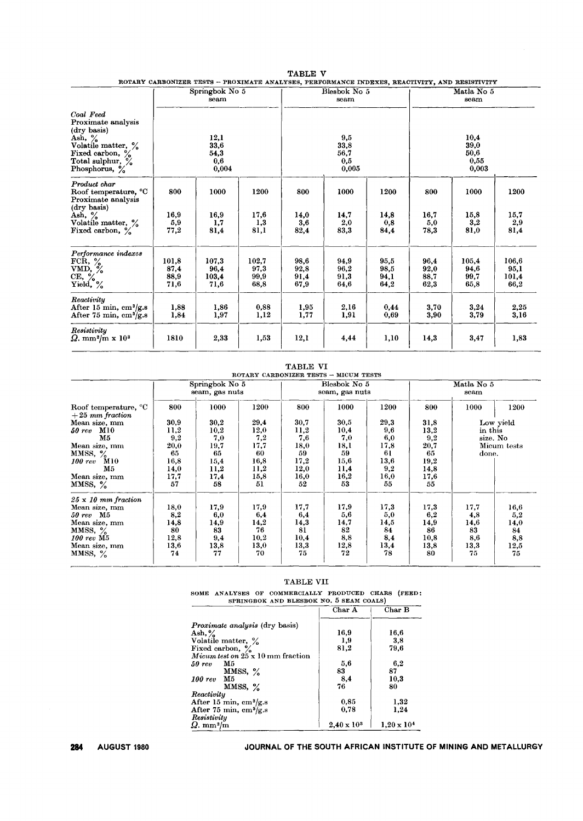|                                                                                                                                                                                        |                               |                                      | ROTARY CARBONIZER TESTS - PROXIMATE ANALYSES, PERFORMANCE INDEXES, REACTIVITY, AND RESISTIVITY |                              |                                     |                              |                              |                                       |                                |  |
|----------------------------------------------------------------------------------------------------------------------------------------------------------------------------------------|-------------------------------|--------------------------------------|------------------------------------------------------------------------------------------------|------------------------------|-------------------------------------|------------------------------|------------------------------|---------------------------------------|--------------------------------|--|
|                                                                                                                                                                                        |                               | Springbok No $5$<br>seam             |                                                                                                |                              | Blesbok No 5<br>seam                |                              | Matla No 5<br>seam           |                                       |                                |  |
| Coal Feed<br>Proximate analysis<br>(dry basis)<br>Ash, $\frac{9}{6}$<br>Volatile matter, %<br>Fixed carbon, $\frac{6}{6}$<br>Total sulphur, $\frac{6}{6}$<br>Phosphorus, $\frac{9}{6}$ |                               | 12,1<br>33,6<br>54,3<br>0.6<br>0,004 |                                                                                                |                              | 9.5<br>33,8<br>56,7<br>0,5<br>0,005 |                              |                              | 10,4<br>39,0<br>50,6<br>0.55<br>0,003 |                                |  |
| Product char<br>Roof temperature, °C<br>Proximate analysis<br>(dry basis)                                                                                                              | 800                           | 1000                                 | 1200                                                                                           | 800                          | 1000                                | 1200                         | 800                          | 1000                                  | 1200                           |  |
| Ash, $\frac{9}{6}$<br>Volatile matter, %<br>Fixed carbon, %                                                                                                                            | 16.9<br>5.9<br>77,2           | 16,9<br>1,7<br>81,4                  | 17,6<br>1,3<br>81,1                                                                            | 14,0<br>3,6<br>82,4          | 14,7<br>2,0<br>83,3                 | 14,8<br>0,8<br>84,4          | 16.7<br>5.0<br>78,3          | 15,8<br>3,2<br>81,0                   | 15,7<br>2,9<br>81,4            |  |
| Performance indexes<br>FCR, $\%$<br>VMD, $\frac{3}{6}$<br>$CE, \%$<br>Yield, %                                                                                                         | 101.8<br>87,4<br>88.9<br>71,6 | 107,3<br>96.4<br>103,4<br>71,6       | 102.7<br>97,3<br>99,9<br>68,8                                                                  | 98,6<br>92,8<br>91,4<br>67,9 | 94.9<br>96.2<br>91,3<br>64,6        | 95.5<br>98,5<br>94,1<br>64,2 | 96,4<br>92,0<br>88,7<br>62.3 | 105,4<br>94.6<br>99,7<br>65,8         | 106.6<br>95.1<br>101.4<br>66,2 |  |
| Reactivity<br>After 15 min, $\text{cm}^3/\text{g.s}$<br>After 75 min, $\text{cm}^3/\text{g.s}$                                                                                         | 1,88<br>1,84                  | 1.86<br>1,97                         | 0,88<br>1,12                                                                                   | 1,95<br>1,77                 | 2,16<br>1,91                        | 0.44<br>0,69                 | 3,70<br>3,90                 | 3,24<br>3,79                          | 2,25<br>3,16                   |  |
| Resistivity<br>$\Omega$ . mm <sup>2</sup> /m x 10 <sup>3</sup>                                                                                                                         | 1810                          | 2,33                                 | 1,53                                                                                           | 12,1                         | 4,44                                | 1,10                         | 14,3                         | 3,47                                  | 1,83                           |  |

#### TABLE V :ROTARY CARBONIZE:R TESTS - PROXIMATE ANALYSES, PERFORMANCE INDEXES, REACTIVITY, AND RESISTIVITY

TABLE VI<br>ROTARY CARBONIZER TESTS – MICUM TEST

|                                                       |      | Springbok No 5<br>seam, gas nuts |      | Blesbok No 5<br>seam, gas nuts |      |      | Matla No 5<br>seam |         |             |
|-------------------------------------------------------|------|----------------------------------|------|--------------------------------|------|------|--------------------|---------|-------------|
| Roof temperature, <sup>o</sup> C<br>$+25$ mm fraction | 800  | 1000                             | 1200 | 800                            | 1000 | 1200 | 800                | 1000    | 1200        |
| Mean size, mm                                         | 30,9 | 30,2                             | 29,4 | 30,7                           | 30,5 | 29,3 | 31,8               |         | Low yield   |
| M10<br><b>50 rev</b>                                  | 11,2 | 10,2                             | 12,0 | 11,2                           | 10,4 | 9,6  | 13,2               | in this |             |
| M5                                                    | 9,2  | 7,0                              | 7,2  | 7,6                            | 7,0  | 6,0  | 9.2                |         | size. No    |
| Mean size, mm                                         | 20,0 | 19,7                             | 17,7 | 18,0                           | 18,1 | 17,8 | 20,7               |         | Micum tests |
| MMSS, $\%$                                            | 65   | 65                               | 60   | 59                             | 59   | 61   | 65                 | done.   |             |
| <b>M10</b><br>$100\,rev$                              | 16,8 | 15,4                             | 16,8 | 17,2                           | 15,6 | 13,6 | 19,2               |         |             |
| M5                                                    | 14,0 | 11,2                             | 11,2 | 12,0                           | 11,4 | 9,2  | 14,8               |         |             |
| Mean size, mm                                         | 17,7 | 17,4                             | 15,8 | 16,0                           | 16,2 | 16,0 | 17,6               |         |             |
| MMSS, $\%$                                            | 57   | 58                               | 51   | 52                             | 53   | 55   | 55                 |         |             |
| $25 \times 10$ mm fraction                            |      |                                  |      |                                |      |      |                    |         |             |
| Mean size, mm                                         | 18,0 | 17,9                             | 17,9 | 17,7                           | 17,9 | 17,3 | 17,3               | 17,7    | 16,6        |
| $50 \, \text{rev}$ M5                                 | 8,2  | 6,0                              | 6,4  | 6,4                            | 5,6  | 5,0  | 6,2                | 4,8     | 5,2         |
| Mean size, mm                                         | 14,8 | 14,9                             | 14,2 | 14,3                           | 14,7 | 14,5 | 14,9               | 14,6    | 14,0        |
| MMSS, $\frac{9}{6}$                                   | 80   | 83                               | 76   | 81                             | 82   | 84   | 86                 | 83      | 84          |
| $100 \, \text{rev} \, \text{M}5$                      | 12.8 | 9,4                              | 10,2 | 10,4                           | 8,8  | 8,4  | 10,8               | 8,6     | 8,8         |
| Mean size, mm                                         | 13,6 | 13,8                             | 13,0 | 13,3                           | 12,8 | 13,4 | 13,8               | 13,3    | 12,5        |
| MMSS, $\%$                                            | 74   | 77                               | 70   | 75                             | 72   | 78   | 80                 | 75      | 75          |

#### TABLE VII

|                                          | Char A               | Char B               |
|------------------------------------------|----------------------|----------------------|
|                                          |                      |                      |
| <i>Proximate analysis</i> (dry basis)    |                      |                      |
| Ash, $\%$                                | 16,9                 | 16,6                 |
| Volatile matter, %                       | 1,9                  | 3,8                  |
| Fixed carbon, %                          | 81,2                 | 79.6                 |
| Micum test on $25 \times 10$ mm fraction |                      |                      |
| M5<br>50 rev                             | 5.6                  | 6.2                  |
| MMSS, $\%$                               | 83                   | 87                   |
| - M5<br>$100 \, \text{rev}$              | 8,4                  | 10,3                 |
| $MMSS, \frac{6}{2}$                      | 76                   | 80                   |
| Reactivity                               |                      |                      |
| After 15 min, $\text{cm}^3/\text{g.s}$   | 0.85                 | 1,32                 |
| After 75 min, cm <sup>3</sup> /g.s       | 0.78                 | 1.24                 |
| Resistivity                              |                      |                      |
| $\Omega$ . mm $^{2}/{\rm m}$             | $2,40 \times 10^{3}$ | $1.20 \times 10^{4}$ |